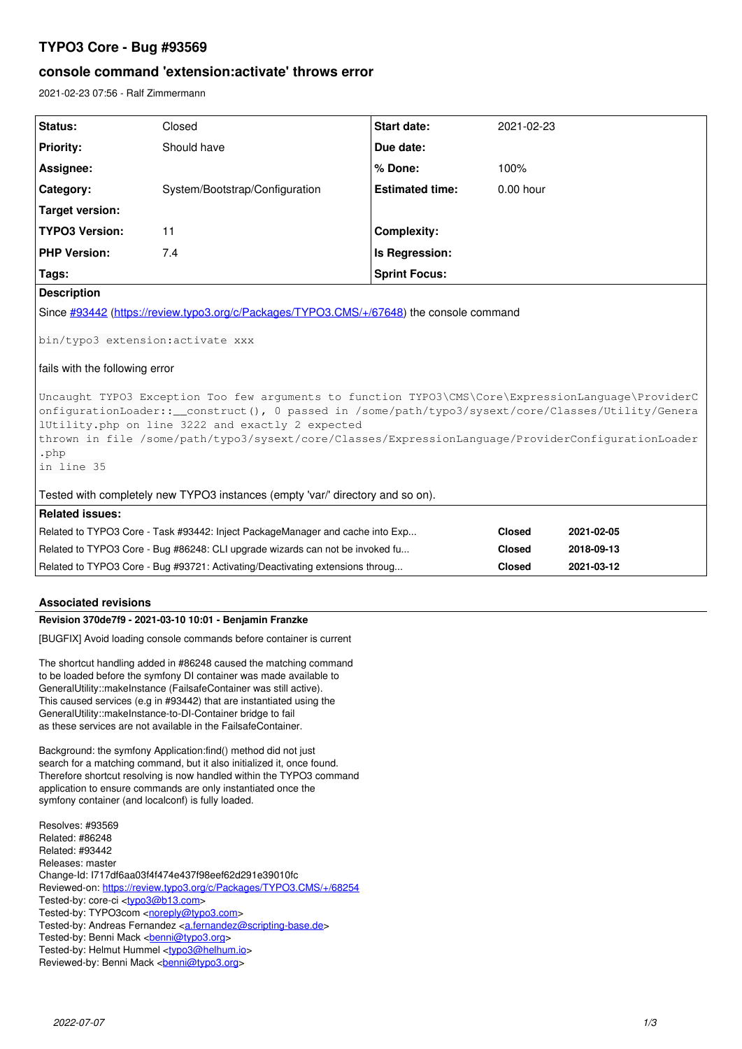# **TYPO3 Core - Bug #93569**

# **console command 'extension:activate' throws error**

2021-02-23 07:56 - Ralf Zimmermann

| Status:                                                                                                                                                                                                                                                                                                                                                                    | Closed                                                                        | <b>Start date:</b>     | 2021-02-23    |            |
|----------------------------------------------------------------------------------------------------------------------------------------------------------------------------------------------------------------------------------------------------------------------------------------------------------------------------------------------------------------------------|-------------------------------------------------------------------------------|------------------------|---------------|------------|
| <b>Priority:</b>                                                                                                                                                                                                                                                                                                                                                           | Should have                                                                   | Due date:              |               |            |
| Assignee:                                                                                                                                                                                                                                                                                                                                                                  |                                                                               | % Done:                | 100%          |            |
| Category:                                                                                                                                                                                                                                                                                                                                                                  | System/Bootstrap/Configuration                                                | <b>Estimated time:</b> | $0.00$ hour   |            |
| <b>Target version:</b>                                                                                                                                                                                                                                                                                                                                                     |                                                                               |                        |               |            |
| <b>TYPO3 Version:</b>                                                                                                                                                                                                                                                                                                                                                      | 11                                                                            | <b>Complexity:</b>     |               |            |
| <b>PHP Version:</b>                                                                                                                                                                                                                                                                                                                                                        | 7.4                                                                           | Is Regression:         |               |            |
| Tags:                                                                                                                                                                                                                                                                                                                                                                      |                                                                               | <b>Sprint Focus:</b>   |               |            |
| <b>Description</b>                                                                                                                                                                                                                                                                                                                                                         |                                                                               |                        |               |            |
| Since #93442 (https://review.typo3.org/c/Packages/TYPO3.CMS/+/67648) the console command                                                                                                                                                                                                                                                                                   |                                                                               |                        |               |            |
| bin/typo3 extension:activate xxx                                                                                                                                                                                                                                                                                                                                           |                                                                               |                        |               |            |
| fails with the following error                                                                                                                                                                                                                                                                                                                                             |                                                                               |                        |               |            |
| Uncaught TYPO3 Exception Too few arguments to function TYPO3\CMS\Core\ExpressionLanguage\ProviderC<br>onfigurationLoader::__construct(), 0 passed in /some/path/typo3/sysext/core/Classes/Utility/Genera<br>lUtility.php on line 3222 and exactly 2 expected<br>thrown in file /some/path/typo3/sysext/core/Classes/ExpressionLanguage/ProviderConfigurationLoader<br>.php |                                                                               |                        |               |            |
| in line 35                                                                                                                                                                                                                                                                                                                                                                 |                                                                               |                        |               |            |
| Tested with completely new TYPO3 instances (empty 'var/' directory and so on).                                                                                                                                                                                                                                                                                             |                                                                               |                        |               |            |
| <b>Related issues:</b>                                                                                                                                                                                                                                                                                                                                                     |                                                                               |                        |               |            |
|                                                                                                                                                                                                                                                                                                                                                                            | Related to TYPO3 Core - Task #93442: Inject PackageManager and cache into Exp |                        | <b>Closed</b> | 2021-02-05 |
| Related to TYPO3 Core - Bug #86248: CLI upgrade wizards can not be invoked fu                                                                                                                                                                                                                                                                                              |                                                                               |                        | <b>Closed</b> | 2018-09-13 |
| Related to TYPO3 Core - Bug #93721: Activating/Deactivating extensions throug                                                                                                                                                                                                                                                                                              |                                                                               |                        | <b>Closed</b> | 2021-03-12 |

## **Associated revisions**

## **Revision 370de7f9 - 2021-03-10 10:01 - Benjamin Franzke**

[BUGFIX] Avoid loading console commands before container is current

The shortcut handling added in #86248 caused the matching command to be loaded before the symfony DI container was made available to GeneralUtility::makeInstance (FailsafeContainer was still active). This caused services (e.g in #93442) that are instantiated using the GeneralUtility::makeInstance-to-DI-Container bridge to fail as these services are not available in the FailsafeContainer.

Background: the symfony Application:find() method did not just search for a matching command, but it also initialized it, once found. Therefore shortcut resolving is now handled within the TYPO3 command application to ensure commands are only instantiated once the symfony container (and localconf) is fully loaded.

Resolves: #93569 Related: #86248 Related: #93442 Releases: master Change-Id: I717df6aa03f4f474e437f98eef62d291e39010fc Reviewed-on:<https://review.typo3.org/c/Packages/TYPO3.CMS/+/68254> Tested-by: core-ci [<typo3@b13.com](mailto:typo3@b13.com)> Tested-by: TYPO3com [<noreply@typo3.com>](mailto:noreply@typo3.com) Tested-by: Andreas Fernandez [<a.fernandez@scripting-base.de>](mailto:a.fernandez@scripting-base.de) Tested-by: Benni Mack <br />
<u>benni@typo3.org</u>> Tested-by: Helmut Hummel [<typo3@helhum.io>](mailto:typo3@helhum.io) Reviewed-by: Benni Mack <br/>
<u>conni@typo3.org</u>>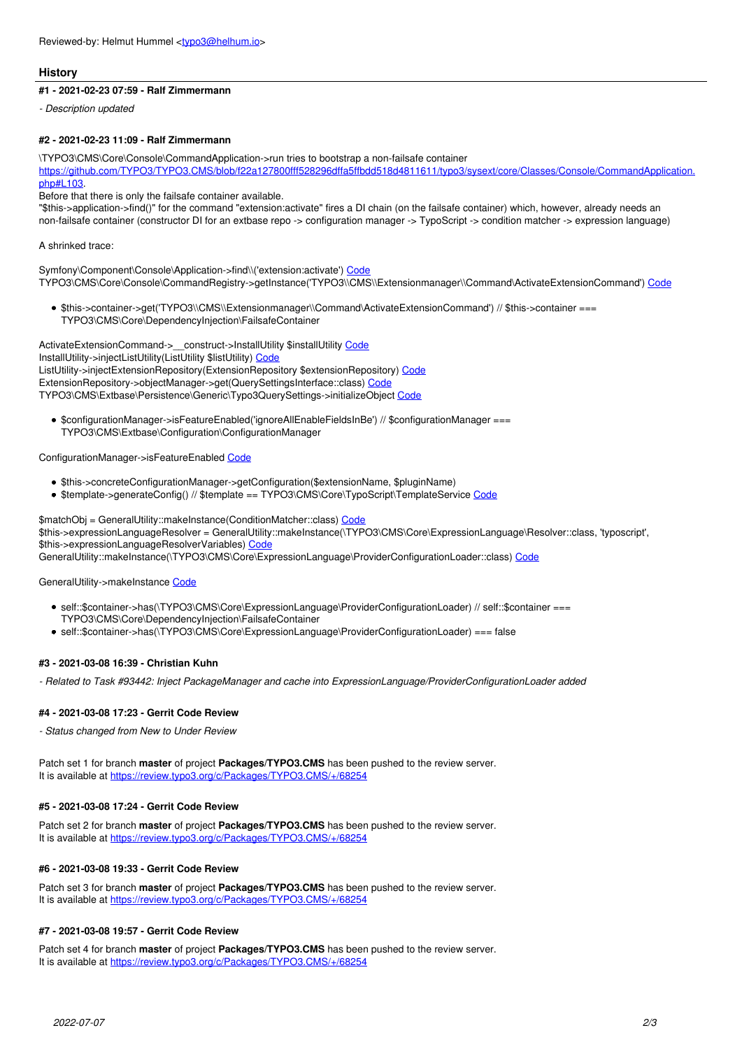### **History**

### **#1 - 2021-02-23 07:59 - Ralf Zimmermann**

*- Description updated*

### **#2 - 2021-02-23 11:09 - Ralf Zimmermann**

\TYPO3\CMS\Core\Console\CommandApplication->run tries to bootstrap a non-failsafe container

[https://github.com/TYPO3/TYPO3.CMS/blob/f22a127800fff528296dffa5ffbdd518d4811611/typo3/sysext/core/Classes/Console/CommandApplication.](https://github.com/TYPO3/TYPO3.CMS/blob/f22a127800fff528296dffa5ffbdd518d4811611/typo3/sysext/core/Classes/Console/CommandApplication.php#L103)  $nh$ nhn#L $103$ 

Before that there is only the failsafe container available.

"\$this->application->find()" for the command "extension:activate" fires a DI chain (on the failsafe container) which, however, already needs an non-failsafe container (constructor DI for an extbase repo -> configuration manager -> TypoScript -> condition matcher -> expression language)

### A shrinked trace:

Symfony\Component\Console\Application->find\\('extension:activate') [Code](https://github.com/TYPO3/TYPO3.CMS/blob/f22a127800fff528296dffa5ffbdd518d4811611/typo3/sysext/core/Classes/Console/CommandApplication.php#L95) TYPO3\CMS\Core\Console\CommandRegistry->getInstance('TYPO3\\CMS\\Extensionmanager\\Command\ActivateExtensionCommand') [Code](https://github.com/TYPO3/TYPO3.CMS/blob/f22a127800fff528296dffa5ffbdd518d4811611/typo3/sysext/core/Classes/Console/CommandRegistry.php#L120)

\$this->container->get('TYPO3\\CMS\\Extensionmanager\\Command\ActivateExtensionCommand') // \$this->container === TYPO3\CMS\Core\DependencyInjection\FailsafeContainer

ActivateExtensionCommand->\_\_construct->InstallUtility \$installUtility [Code](https://github.com/TYPO3/TYPO3.CMS/blob/f22a127800fff528296dffa5ffbdd518d4811611/typo3/sysext/extensionmanager/Classes/Command/ActivateExtensionCommand.php#L47) InstallUtility->injectListUtility(ListUtility \$listUtility) [Code](https://github.com/TYPO3/TYPO3.CMS/blob/f22a127800fff528296dffa5ffbdd518d4811611/typo3/sysext/extensionmanager/Classes/Utility/InstallUtility.php#L110) ListUtility->injectExtensionRepository(ExtensionRepository \$extensionRepository) [Code](https://github.com/TYPO3/TYPO3.CMS/blob/f22a127800fff528296dffa5ffbdd518d4811611/typo3/sysext/extensionmanager/Classes/Utility/ListUtility.php#L87) ExtensionRepository->objectManager->get(QuerySettingsInterface::class) [Code](https://github.com/TYPO3/TYPO3.CMS/blob/f22a127800fff528296dffa5ffbdd518d4811611/typo3/sysext/extensionmanager/Classes/Domain/Repository/ExtensionRepository.php#L44) TYPO3\CMS\Extbase\Persistence\Generic\Typo3QuerySettings->initializeObject [Code](https://github.com/TYPO3/TYPO3.CMS/blob/f22a127800fff528296dffa5ffbdd518d4811611/typo3/sysext/extbase/Classes/Persistence/Generic/Typo3QuerySettings.php#L112)

\$configurationManager->isFeatureEnabled('ignoreAllEnableFieldsInBe') // \$configurationManager === TYPO3\CMS\Extbase\Configuration\ConfigurationManager

### ConfigurationManager->isFeatureEnabled [Code](https://github.com/TYPO3/TYPO3.CMS/blob/f22a127800fff528296dffa5ffbdd518d4811611/typo3/sysext/extbase/Classes/Configuration/ConfigurationManager.php#L123)

- \$this->concreteConfigurationManager->getConfiguration(\$extensionName, \$pluginName)
- \$template->generateConfig() // \$template == TYPO3\CMS\Core\TypoScript\TemplateService [Code](https://github.com/TYPO3/TYPO3.CMS/blob/f22a127800fff528296dffa5ffbdd518d4811611/typo3/sysext/extbase/Classes/Configuration/BackendConfigurationManager.php#L75)

\$matchObj = GeneralUtility::makeInstance(ConditionMatcher::class) [Code](https://github.com/TYPO3/TYPO3.CMS/blob/f22a127800fff528296dffa5ffbdd518d4811611/typo3/sysext/core/Classes/TypoScript/TemplateService.php#L971) \$this->expressionLanguageResolver = GeneralUtility::makeInstance(\TYPO3\CMS\Core\ExpressionLanguage\Resolver::class, 'typoscript', \$this->expressionLanguageResolverVariables) [Code](https://github.com/TYPO3/TYPO3.CMS/blob/f22a127800fff528296dffa5ffbdd518d4811611/typo3/sysext/core/Classes/Configuration/TypoScript/ConditionMatching/AbstractConditionMatcher.php#L82) GeneralUtility::makeInstance(\TYPO3\CMS\Core\ExpressionLanguage\ProviderConfigurationLoader::class) [Code](https://github.com/TYPO3/TYPO3.CMS/blob/f22a127800fff528296dffa5ffbdd518d4811611/typo3/sysext/core/Classes/ExpressionLanguage/Resolver.php#L50)

#### GeneralUtility->makeInstance [Code](https://github.com/TYPO3/TYPO3.CMS/blob/f22a127800fff528296dffa5ffbdd518d4811611/typo3/sysext/core/Classes/Utility/GeneralUtility.php#L3217)

- self::\$container->has(\TYPO3\CMS\Core\ExpressionLanguage\ProviderConfigurationLoader) // self::\$container === TYPO3\CMS\Core\DependencyInjection\FailsafeContainer
- self::\$container->has(\TYPO3\CMS\Core\ExpressionLanguage\ProviderConfigurationLoader) === false

#### **#3 - 2021-03-08 16:39 - Christian Kuhn**

*- Related to Task #93442: Inject PackageManager and cache into ExpressionLanguage/ProviderConfigurationLoader added*

#### **#4 - 2021-03-08 17:23 - Gerrit Code Review**

*- Status changed from New to Under Review*

Patch set 1 for branch **master** of project **Packages/TYPO3.CMS** has been pushed to the review server. It is available at <https://review.typo3.org/c/Packages/TYPO3.CMS/+/68254>

## **#5 - 2021-03-08 17:24 - Gerrit Code Review**

Patch set 2 for branch **master** of project **Packages/TYPO3.CMS** has been pushed to the review server. It is available at <https://review.typo3.org/c/Packages/TYPO3.CMS/+/68254>

## **#6 - 2021-03-08 19:33 - Gerrit Code Review**

Patch set 3 for branch **master** of project **Packages/TYPO3.CMS** has been pushed to the review server. It is available at <https://review.typo3.org/c/Packages/TYPO3.CMS/+/68254>

## **#7 - 2021-03-08 19:57 - Gerrit Code Review**

Patch set 4 for branch **master** of project **Packages/TYPO3.CMS** has been pushed to the review server. It is available at <https://review.typo3.org/c/Packages/TYPO3.CMS/+/68254>